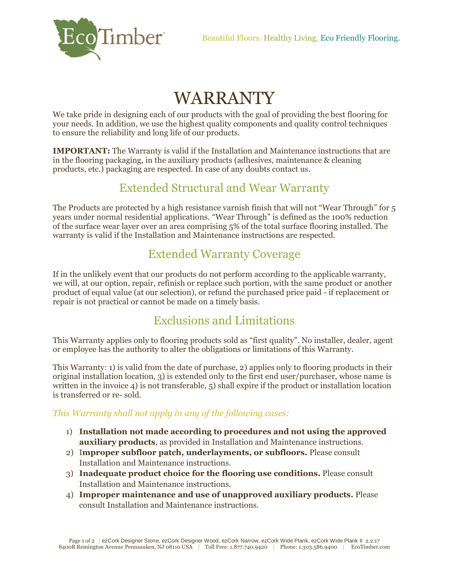

# WARRANTY

We take pride in designing each of our products with the goal of providing the best flooring for your needs. In addition, we use the highest quality components and quality control techniques to ensure the reliability and long life of our products.

**IMPORTANT:** The Warranty is valid if the Installation and Maintenance instructions that are in the flooring packaging, in the auxiliary products (adhesives, maintenance & cleaning products, etc.) packaging are respected. In case of any doubts contact us.

### Extended Structural and Wear Warranty

The Products are protected by a high resistance varnish finish that will not "Wear Through" for 5 years under normal residential applications. "Wear Through" is defined as the 100% reduction of the surface wear layer over an area comprising 5% of the total surface flooring installed. The warranty is valid if the Installation and Maintenance instructions are respected.

#### Extended Warranty Coverage

If in the unlikely event that our products do not perform according to the applicable warranty, we will, at our option, repair, refinish or replace such portion, with the same product or another product of equal value (at our selection), or refund the purchased price paid - if replacement or repair is not practical or cannot be made on a timely basis.

## Exclusions and Limitations

This Warranty applies only to flooring products sold as "first quality". No installer, dealer, agent or employee has the authority to alter the obligations or limitations of this Warranty.

This Warranty: 1) is valid from the date of purchase, 2) applies only to flooring products in their original installation location, 3) is extended only to the first end user/purchaser, whose name is written in the invoice 4) is not transferable, 5) shall expire if the product or installation location is transferred or re- sold.

#### *This Warranty shall not apply in any of the following cases:*

- 1) **Installation not made according to procedures and not using the approved auxiliary products**, as provided in Installation and Maintenance instructions.
- 2) I**mproper subfloor patch, underlayments, or subfloors.** Please consult Installation and Maintenance instructions.
- 3) **Inadequate product choice for the flooring use conditions.** Please consult Installation and Maintenance instructions.
- 4) **Improper maintenance and use of unapproved auxiliary products.** Please consult Installation and Maintenance instructions.